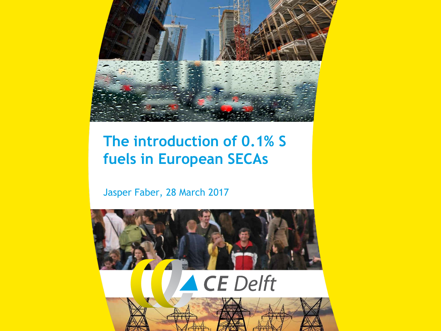

## **The introduction of 0.1% S fuels in European SECAs**

Jasper Faber, 28 March 2017

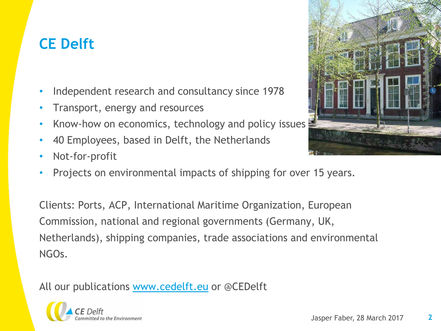# **CE Delft**

- Independent research and consultancy since 1978
- Transport, energy and resources
- Know-how on economics, technology and policy issues
- 40 Employees, based in Delft, the Netherlands
- Not-for-profit
- Projects on environmental impacts of shipping for over 15 years.

Clients: Ports, ACP, International Maritime Organization, European Commission, national and regional governments (Germany, UK, Netherlands), shipping companies, trade associations and environmental NGOs.

All our publications [www.cedelft.eu](http://www.cedelft.eu/) or @CEDelft



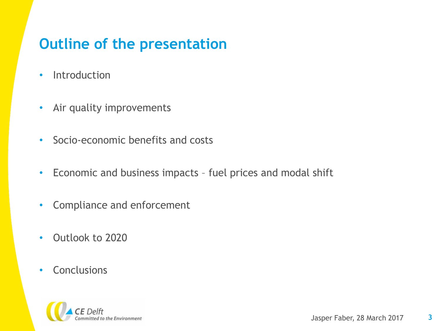## **Outline of the presentation**

- Introduction
- Air quality improvements
- Socio-economic benefits and costs
- Economic and business impacts fuel prices and modal shift
- Compliance and enforcement
- Outlook to 2020
- Conclusions

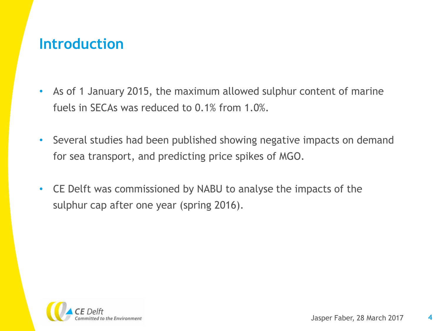#### **Introduction**

- As of 1 January 2015, the maximum allowed sulphur content of marine fuels in SECAs was reduced to 0.1% from 1.0%.
- Several studies had been published showing negative impacts on demand for sea transport, and predicting price spikes of MGO.
- CE Delft was commissioned by NABU to analyse the impacts of the sulphur cap after one year (spring 2016).

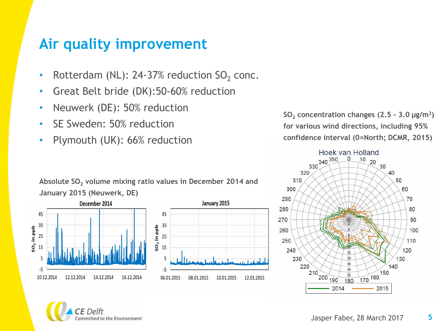#### **Air quality improvement**

- Rotterdam (NL): 24-37% reduction  $SO_2$  conc.
- Great Belt bride (DK):50-60% reduction
- Neuwerk (DE): 50% reduction
- SE Sweden: 50% reduction
- Plymouth (UK): 66% reduction

**Absolute SO<sup>2</sup> volume mixing ratio values in December 2014 and January 2015 (Neuwerk, DE)** 





**SO<sup>2</sup> concentration changes (2.5 - 3.0 μg/m<sup>3</sup> ) for various wind directions, including 95% confidence interval (0=North; DCMR, 2015)** 



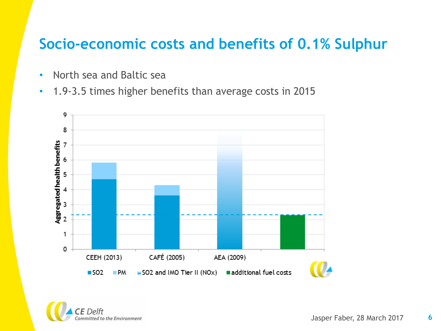#### **Socio-economic costs and benefits of 0.1% Sulphur**

- North sea and Baltic sea
- 1.9-3.5 times higher benefits than average costs in 2015



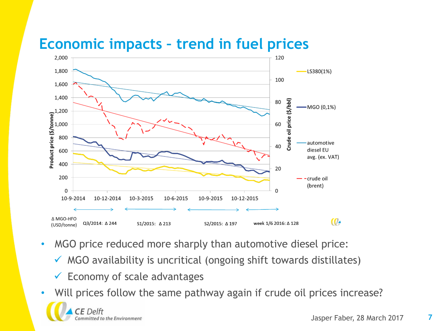## **Economic impacts – trend in fuel prices**



- MGO price reduced more sharply than automotive diesel price:
	- $\checkmark$  MGO availability is uncritical (ongoing shift towards distillates)
	- $\checkmark$  Economy of scale advantages
- Will prices follow the same pathway again if crude oil prices increase?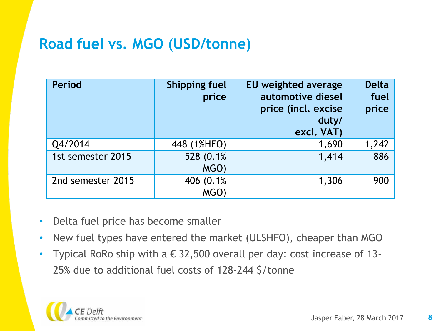## **Road fuel vs. MGO (USD/tonne)**

| <b>Period</b>     | <b>Shipping fuel</b><br>price | EU weighted average<br>automotive diesel<br>price (incl. excise<br>duty/<br>excl. VAT) | <b>Delta</b><br>fuel<br>price |
|-------------------|-------------------------------|----------------------------------------------------------------------------------------|-------------------------------|
| Q4/2014           | 448 (1%HFO)                   | 1,690                                                                                  | 1,242                         |
| 1st semester 2015 | 528 (0.1%)<br>MGO)            | 1,414                                                                                  | 886                           |
| 2nd semester 2015 | 406 (0.1%)<br><b>MGO</b>      | 1,306                                                                                  | 900                           |

- Delta fuel price has become smaller
- New fuel types have entered the market (ULSHFO), cheaper than MGO
- Typical RoRo ship with a  $\epsilon$  32,500 overall per day: cost increase of 13-25% due to additional fuel costs of 128-244 \$/tonne

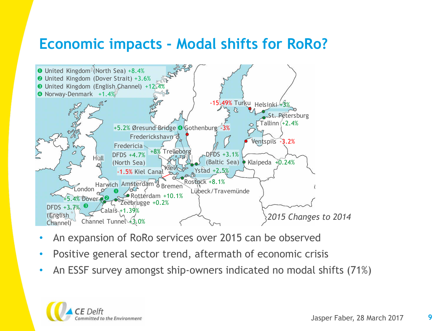#### **Economic impacts - Modal shifts for RoRo?**



- An expansion of RoRo services over 2015 can be observed
- Positive general sector trend, aftermath of economic crisis
- An ESSF survey amongst ship-owners indicated no modal shifts (71%)

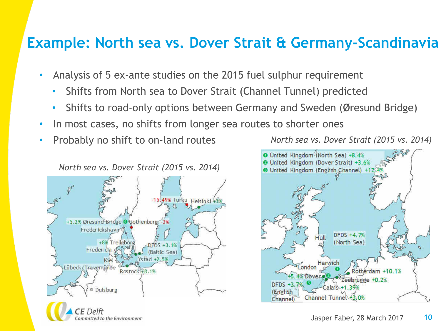#### **Example: North sea vs. Dover Strait & Germany-Scandinavia**

- Analysis of 5 ex-ante studies on the 2015 fuel sulphur requirement
	- Shifts from North sea to Dover Strait (Channel Tunnel) predicted
	- Shifts to road-only options between Germany and Sweden (Øresund Bridge)
- In most cases, no shifts from longer sea routes to shorter ones
- Probably no shift to on-land routes



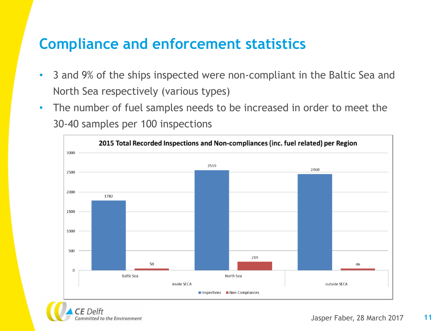#### **Compliance and enforcement statistics**

ommitted to the Environment

- 3 and 9% of the ships inspected were non-compliant in the Baltic Sea and North Sea respectively (various types)
- The number of fuel samples needs to be increased in order to meet the 30-40 samples per 100 inspections

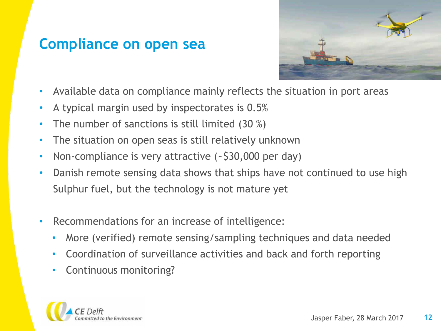## **Compliance on open sea**

![](_page_11_Picture_1.jpeg)

- Available data on compliance mainly reflects the situation in port areas
- A typical margin used by inspectorates is 0.5%
- The number of sanctions is still limited  $(30\%)$
- The situation on open seas is still relatively unknown
- Non-compliance is very attractive (~\$30,000 per day)
- Danish remote sensing data shows that ships have not continued to use high Sulphur fuel, but the technology is not mature yet
- Recommendations for an increase of intelligence:
	- More (verified) remote sensing/sampling techniques and data needed
	- Coordination of surveillance activities and back and forth reporting
	- Continuous monitoring?

![](_page_11_Picture_12.jpeg)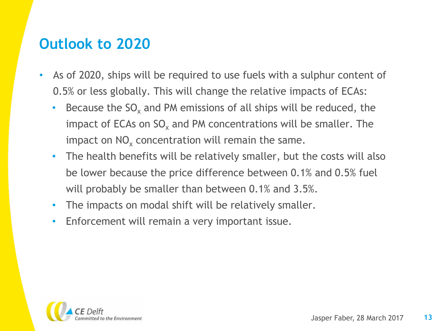#### **Outlook to 2020**

- As of 2020, ships will be required to use fuels with a sulphur content of 0.5% or less globally. This will change the relative impacts of ECAs:
	- Because the  $SO_{x}$  and PM emissions of all ships will be reduced, the impact of ECAs on SO<sub>x</sub> and PM concentrations will be smaller. The impact on  $\mathsf{NO}_\mathsf{x}$  concentration will remain the same.
	- The health benefits will be relatively smaller, but the costs will also be lower because the price difference between 0.1% and 0.5% fuel will probably be smaller than between 0.1% and 3.5%.
	- The impacts on modal shift will be relatively smaller.
	- Enforcement will remain a very important issue.

![](_page_12_Picture_6.jpeg)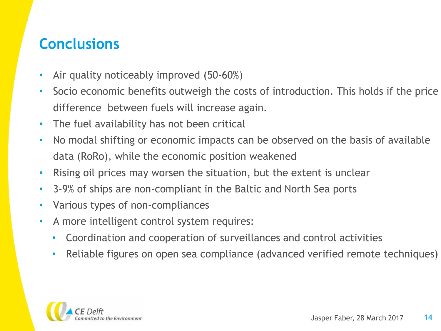## **Conclusions**

- Air quality noticeably improved (50-60%)
- Socio economic benefits outweigh the costs of introduction. This holds if the price difference between fuels will increase again.
- The fuel availability has not been critical
- No modal shifting or economic impacts can be observed on the basis of available data (RoRo), while the economic position weakened
- Rising oil prices may worsen the situation, but the extent is unclear
- 3-9% of ships are non-compliant in the Baltic and North Sea ports
- Various types of non-compliances
- A more intelligent control system requires:
	- Coordination and cooperation of surveillances and control activities
	- Reliable figures on open sea compliance (advanced verified remote techniques)

![](_page_13_Picture_11.jpeg)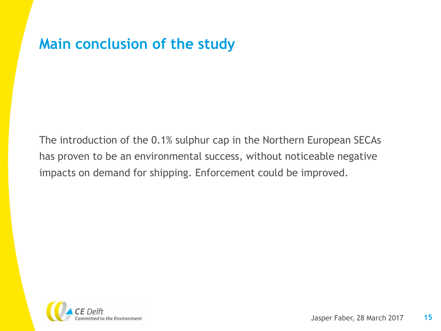#### **Main conclusion of the study**

The introduction of the 0.1% sulphur cap in the Northern European SECAs has proven to be an environmental success, without noticeable negative impacts on demand for shipping. Enforcement could be improved.

![](_page_14_Picture_2.jpeg)